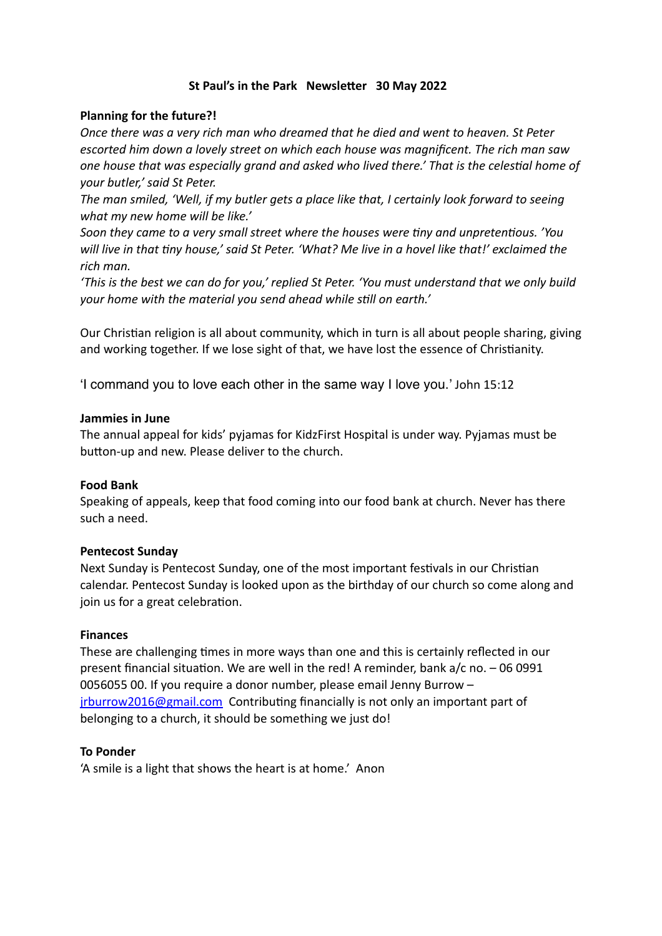# **St Paul's in the Park Newsletter 30 May 2022**

## **Planning for the future?!**

*Once there was a very rich man who dreamed that he died and went to heaven. St Peter escorted him down a lovely street on which each house was magnificent. The rich man saw one house that was especially grand and asked who lived there.' That is the celestial home of your butler,' said St Peter.*

*The man smiled, 'Well, if my butler gets a place like that, I certainly look forward to seeing what my new home will be like.'*

*Soon they came to a very small street where the houses were tiny and unpretentious. 'You will live in that tiny house,' said St Peter. 'What? Me live in a hovel like that!' exclaimed the rich man.* 

*'This is the best we can do for you,' replied St Peter. 'You must understand that we only build your home with the material you send ahead while still on earth.'*

Our Christian religion is all about community, which in turn is all about people sharing, giving and working together. If we lose sight of that, we have lost the essence of Christianity.

'I command you to love each other in the same way I love you.' John 15:12

### **Jammies in June**

The annual appeal for kids' pyjamas for KidzFirst Hospital is under way. Pyjamas must be button-up and new. Please deliver to the church.

### **Food Bank**

Speaking of appeals, keep that food coming into our food bank at church. Never has there such a need.

### **Pentecost Sunday**

Next Sunday is Pentecost Sunday, one of the most important festivals in our Christian calendar. Pentecost Sunday is looked upon as the birthday of our church so come along and join us for a great celebration.

### **Finances**

These are challenging times in more ways than one and this is certainly reflected in our present financial situation. We are well in the red! A reminder, bank a/c no. – 06 0991 0056055 00. If you require a donor number, please email Jenny Burrow – [jrburrow2016@gmail.com](mailto:jrburrow2016@gmail.com) Contributing financially is not only an important part of belonging to a church, it should be something we just do!

### **To Ponder**

'A smile is a light that shows the heart is at home.' Anon